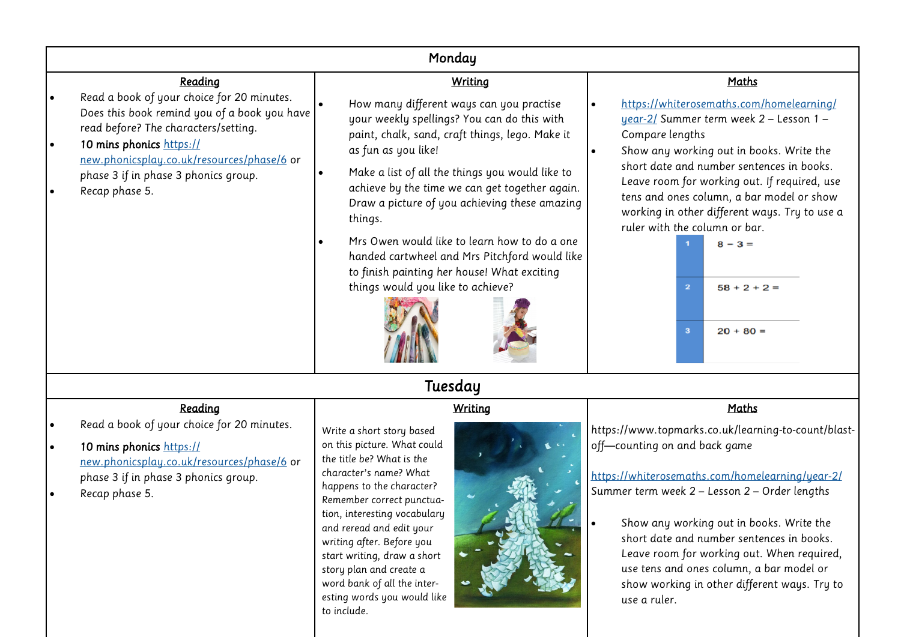| Monday                                                                                                                                                                                                                                                                 |                                                                                                                                                                                                                                                                                                                                                                                                                                                                                                                         |                                                                                                                                                                                                                                                                                                                                                                                                                                                                |  |  |  |  |  |  |  |
|------------------------------------------------------------------------------------------------------------------------------------------------------------------------------------------------------------------------------------------------------------------------|-------------------------------------------------------------------------------------------------------------------------------------------------------------------------------------------------------------------------------------------------------------------------------------------------------------------------------------------------------------------------------------------------------------------------------------------------------------------------------------------------------------------------|----------------------------------------------------------------------------------------------------------------------------------------------------------------------------------------------------------------------------------------------------------------------------------------------------------------------------------------------------------------------------------------------------------------------------------------------------------------|--|--|--|--|--|--|--|
| Reading                                                                                                                                                                                                                                                                | Writing                                                                                                                                                                                                                                                                                                                                                                                                                                                                                                                 | Maths                                                                                                                                                                                                                                                                                                                                                                                                                                                          |  |  |  |  |  |  |  |
| Read a book of your choice for 20 minutes.<br>Does this book remind you of a book you have<br>read before? The characters/setting.<br>10 mins phonics https://<br>new.phonicsplay.co.uk/resources/phase/6 or<br>phase 3 if in phase 3 phonics group.<br>Recap phase 5. | How many different ways can you practise<br>your weekly spellings? You can do this with<br>paint, chalk, sand, craft things, lego. Make it<br>as fun as you like!<br>Make a list of all the things you would like to<br>achieve by the time we can get together again.<br>Draw a picture of you achieving these amazing<br>things.<br>Mrs Owen would like to learn how to do a one<br>handed cartwheel and Mrs Pitchford would like<br>to finish painting her house! What exciting<br>things would you like to achieve? | https://whiterosemaths.com/homelearning/<br>year-2/ Summer term week 2 - Lesson 1 -<br>Compare lengths<br>Show any working out in books. Write the<br>short date and number sentences in books.<br>Leave room for working out. If required, use<br>tens and ones column, a bar model or show<br>working in other different ways. Try to use a<br>ruler with the column or bar.<br>$8 - 3 =$<br>$58 + 2 + 2 =$<br>$\overline{2}$<br>$20 + 80 =$<br>$\mathbf{3}$ |  |  |  |  |  |  |  |
|                                                                                                                                                                                                                                                                        | Tuesday                                                                                                                                                                                                                                                                                                                                                                                                                                                                                                                 |                                                                                                                                                                                                                                                                                                                                                                                                                                                                |  |  |  |  |  |  |  |
| Reading                                                                                                                                                                                                                                                                | <b>Writing</b>                                                                                                                                                                                                                                                                                                                                                                                                                                                                                                          | Maths                                                                                                                                                                                                                                                                                                                                                                                                                                                          |  |  |  |  |  |  |  |
| Read a book of your choice for 20 minutes.<br>10 mins phonics https://<br>new.phonicsplay.co.uk/resources/phase/6 or<br>phase 3 if in phase 3 phonics group.<br>Recap phase 5.                                                                                         | Write a short story based<br>on this picture. What could<br>the title be? What is the<br>character's name? What<br>happens to the character?<br>Remember correct punctua-<br>tion, interesting vocabulary<br>and reread and edit your<br>writing after. Before you<br>start writing, draw a short<br>story plan and create a<br>word bank of all the inter-<br>esting words you would like<br>to include.                                                                                                               | https://www.topmarks.co.uk/learning-to-count/blast-<br>off-counting on and back game<br>https://whiterosemaths.com/homelearning/year-2/<br>Summer term week 2 - Lesson 2 - Order lengths<br>Show any working out in books. Write the<br>short date and number sentences in books.<br>Leave room for working out. When required,<br>use tens and ones column, a bar model or<br>show working in other different ways. Try to<br>use a ruler.                    |  |  |  |  |  |  |  |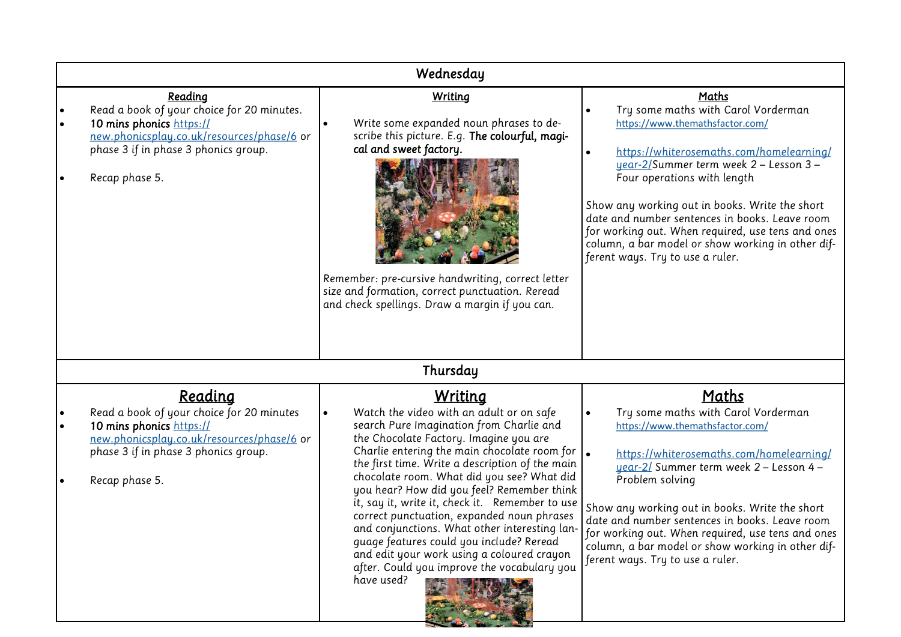| Wednesday                                                                                                                                                                                       |                                                                                                                                                                                                                                                                                                                                                                                                                                                                                                                                                                                                                                                                    |                                                                                                                                                                                                                                                                                                                                                                                                                                                               |  |  |  |  |  |  |  |
|-------------------------------------------------------------------------------------------------------------------------------------------------------------------------------------------------|--------------------------------------------------------------------------------------------------------------------------------------------------------------------------------------------------------------------------------------------------------------------------------------------------------------------------------------------------------------------------------------------------------------------------------------------------------------------------------------------------------------------------------------------------------------------------------------------------------------------------------------------------------------------|---------------------------------------------------------------------------------------------------------------------------------------------------------------------------------------------------------------------------------------------------------------------------------------------------------------------------------------------------------------------------------------------------------------------------------------------------------------|--|--|--|--|--|--|--|
| Reading<br>Read a book of your choice for 20 minutes.<br>10 mins phonics https://<br>new.phonicsplay.co.uk/resources/phase/6 or<br>phase 3 if in phase 3 phonics group.<br>Recap phase 5.       | Writing<br>Write some expanded noun phrases to de-<br>scribe this picture. E.g. The colourful, magi-<br>cal and sweet factory.<br>Remember: pre-cursive handwriting, correct letter<br>size and formation, correct punctuation. Reread<br>and check spellings. Draw a margin if you can.                                                                                                                                                                                                                                                                                                                                                                           | <b>Maths</b><br>Try some maths with Carol Vorderman<br>https://www.themathsfactor.com/<br>https://whiterosemaths.com/homelearning/<br>year-2/Summer term week 2 - Lesson 3 -<br>Four operations with length<br>Show any working out in books. Write the short<br>date and number sentences in books. Leave room<br>for working out. When required, use tens and ones<br>column, a bar model or show working in other dif-<br>ferent ways. Try to use a ruler. |  |  |  |  |  |  |  |
| Thursday                                                                                                                                                                                        |                                                                                                                                                                                                                                                                                                                                                                                                                                                                                                                                                                                                                                                                    |                                                                                                                                                                                                                                                                                                                                                                                                                                                               |  |  |  |  |  |  |  |
| <b>Reading</b><br>Read a book of your choice for 20 minutes<br>10 mins phonics https://<br>new.phonicsplay.co.uk/resources/phase/6 or<br>phase 3 if in phase 3 phonics group.<br>Recap phase 5. | <u>Writing</u><br>Watch the video with an adult or on safe<br>search Pure Imagination from Charlie and<br>the Chocolate Factory. Imagine you are<br>Charlie entering the main chocolate room for $\vert$ .<br>the first time. Write a description of the main<br>chocolate room. What did you see? What did<br>you hear? How did you feel? Remember think<br>it, say it, write it, check it. Remember to use<br>correct punctuation, expanded noun phrases<br>and conjunctions. What other interesting lan-<br>guage features could you include? Reread<br>and edit your work using a coloured crayon<br>after. Could you improve the vocabulary you<br>have used? | <u>Maths</u><br>Try some maths with Carol Vorderman<br>https://www.themathsfactor.com/<br>https://whiterosemaths.com/homelearning/<br>uear-2/ Summer term week 2 - Lesson 4 -<br>Problem solving<br>Show any working out in books. Write the short<br>date and number sentences in books. Leave room<br>for working out. When required, use tens and ones<br>column, a bar model or show working in other dif-<br>ferent ways. Try to use a ruler.            |  |  |  |  |  |  |  |